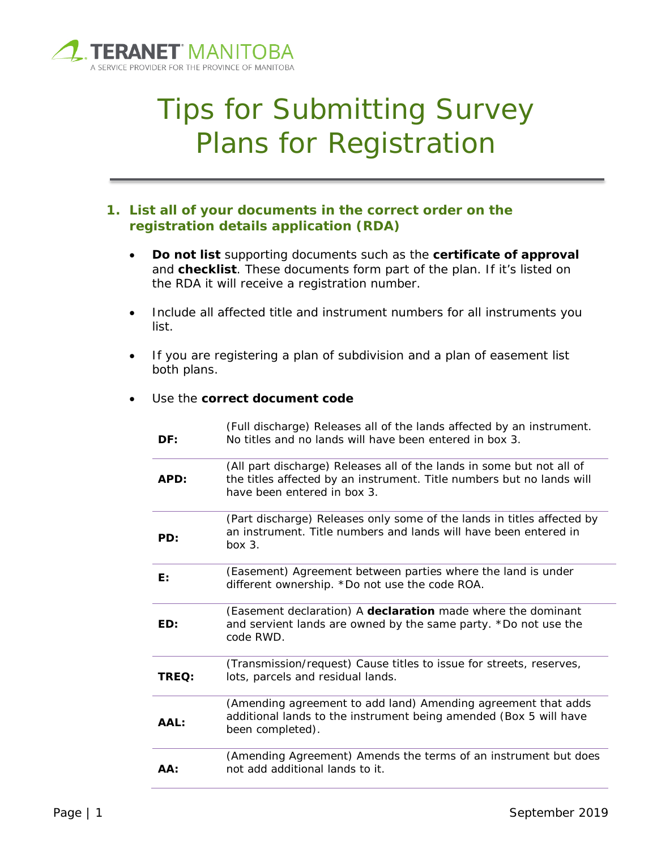

# Tips for Submitting Survey Plans for Registration

# **1. List all of your documents in the correct order on the registration details application (RDA)**

- **Do not list** supporting documents such as the **certificate of approval** and **checklist**. These documents form part of the plan. If it's listed on the RDA it will receive a registration number.
- Include all affected title and instrument numbers for all instruments you list.
- If you are registering a plan of subdivision and a plan of easement list both plans.

#### Use the **correct document code**

| DF:   | (Full discharge) Releases all of the lands affected by an instrument.<br>No titles and no lands will have been entered in box 3.                                              |
|-------|-------------------------------------------------------------------------------------------------------------------------------------------------------------------------------|
| APD:  | (All part discharge) Releases all of the lands in some but not all of<br>the titles affected by an instrument. Title numbers but no lands will<br>have been entered in box 3. |
| PD:   | (Part discharge) Releases only some of the lands in titles affected by<br>an instrument. Title numbers and lands will have been entered in<br>box 3.                          |
| E:    | (Easement) Agreement between parties where the land is under<br>different ownership. *Do not use the code ROA.                                                                |
| ED:   | (Easement declaration) A declaration made where the dominant<br>and servient lands are owned by the same party. *Do not use the<br>code RWD.                                  |
| TREQ: | (Transmission/request) Cause titles to issue for streets, reserves,<br>lots, parcels and residual lands.                                                                      |
| AAL:  | (Amending agreement to add land) Amending agreement that adds<br>additional lands to the instrument being amended (Box 5 will have<br>been completed).                        |
| AA:   | (Amending Agreement) Amends the terms of an instrument but does<br>not add additional lands to it.                                                                            |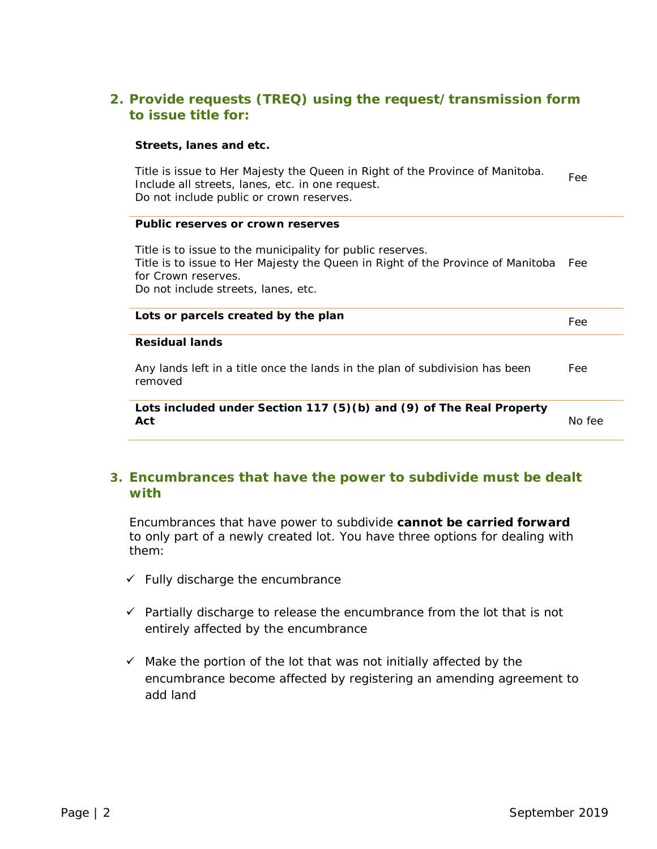# **2. Provide requests (TREQ) using the request/transmission form to issue title for:**

#### **Streets, lanes and etc.**

Title is issue to Her Majesty the Queen in Right of the Province of Manitoba. Include all streets, lanes, etc. in one request. Do not include public or crown reserves. Fee

#### **Public reserves or crown reserves**

Title is to issue to the municipality for public reserves. Title is to issue to Her Majesty the Queen in Right of the Province of Manitoba Fee for Crown reserves. Do not include streets, lanes, etc.

| Lots or parcels created by the plan                                                     | Fee |
|-----------------------------------------------------------------------------------------|-----|
| <b>Residual lands</b>                                                                   |     |
| Any lands left in a title once the lands in the plan of subdivision has been<br>removed | Fee |
| Lots included under Section 117 (5)(b) and (9) of The Real Property<br>Act              |     |

## **3. Encumbrances that have the power to subdivide must be dealt with**

Encumbrances that have power to subdivide **cannot be carried forward** to only part of a newly created lot. You have three options for dealing with them:

- $\checkmark$  Fully discharge the encumbrance
- $\checkmark$  Partially discharge to release the encumbrance from the lot that is not entirely affected by the encumbrance
- $\checkmark$  Make the portion of the lot that was not initially affected by the encumbrance become affected by registering an amending agreement to add land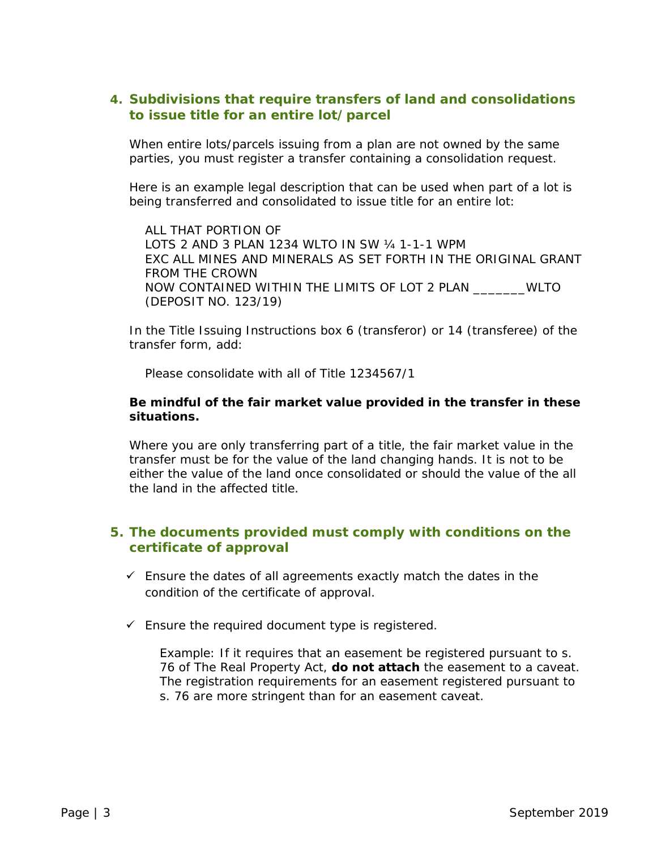# **4. Subdivisions that require transfers of land and consolidations to issue title for an entire lot/parcel**

When entire lots/parcels issuing from a plan are not owned by the same parties, you must register a transfer containing a consolidation request.

Here is an example legal description that can be used when part of a lot is being transferred and consolidated to issue title for an entire lot:

ALL THAT PORTION OF LOTS 2 AND 3 PLAN 1234 WLTO IN SW ¼ 1-1-1 WPM EXC ALL MINES AND MINERALS AS SET FORTH IN THE ORIGINAL GRANT FROM THE CROWN NOW CONTAINED WITHIN THE LIMITS OF LOT 2 PLAN \_\_\_\_\_\_\_WLTO (DEPOSIT NO. 123/19)

In the *Title Issuing Instructions* box 6 (transferor) or 14 (transferee) of the transfer form, add:

*Please consolidate with all of Title 1234567/1*

#### **Be mindful of the fair market value provided in the transfer in these situations.**

Where you are only transferring part of a title, the fair market value in the transfer must be for the value of the land changing hands. It is not to be either the value of the land once consolidated or should the value of the all the land in the affected title.

## **5. The documents provided must comply with conditions on the certificate of approval**

- $\checkmark$  Ensure the dates of all agreements exactly match the dates in the condition of the certificate of approval.
- $\checkmark$  Ensure the required document type is registered.

Example: If it requires that an easement be registered pursuant to s. 76 of *The Real Property Act,* **do not attach** the easement to a caveat. The registration requirements for an easement registered pursuant to s. 76 are more stringent than for an easement caveat.